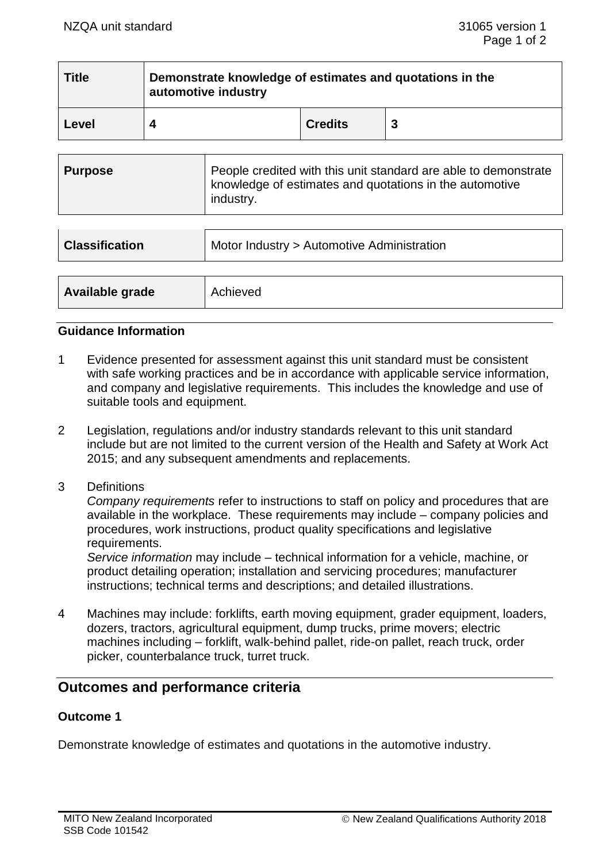| <b>Title</b> | Demonstrate knowledge of estimates and quotations in the<br>automotive industry |                |   |
|--------------|---------------------------------------------------------------------------------|----------------|---|
| Level        |                                                                                 | <b>Credits</b> | 3 |

| <b>Classification</b> | Motor Industry > Automotive Administration |
|-----------------------|--------------------------------------------|
|                       |                                            |
| Available grade       | Achieved                                   |

## **Guidance Information**

- 1 Evidence presented for assessment against this unit standard must be consistent with safe working practices and be in accordance with applicable service information, and company and legislative requirements. This includes the knowledge and use of suitable tools and equipment.
- 2 Legislation, regulations and/or industry standards relevant to this unit standard include but are not limited to the current version of the Health and Safety at Work Act 2015; and any subsequent amendments and replacements.
- 3 Definitions

*Company requirements* refer to instructions to staff on policy and procedures that are available in the workplace. These requirements may include – company policies and procedures, work instructions, product quality specifications and legislative requirements.

*Service information* may include – technical information for a vehicle, machine, or product detailing operation; installation and servicing procedures; manufacturer instructions; technical terms and descriptions; and detailed illustrations.

4 Machines may include: forklifts, earth moving equipment, grader equipment, loaders, dozers, tractors, agricultural equipment, dump trucks, prime movers; electric machines including – forklift, walk-behind pallet, ride-on pallet, reach truck, order picker, counterbalance truck, turret truck.

# **Outcomes and performance criteria**

## **Outcome 1**

Demonstrate knowledge of estimates and quotations in the automotive industry.